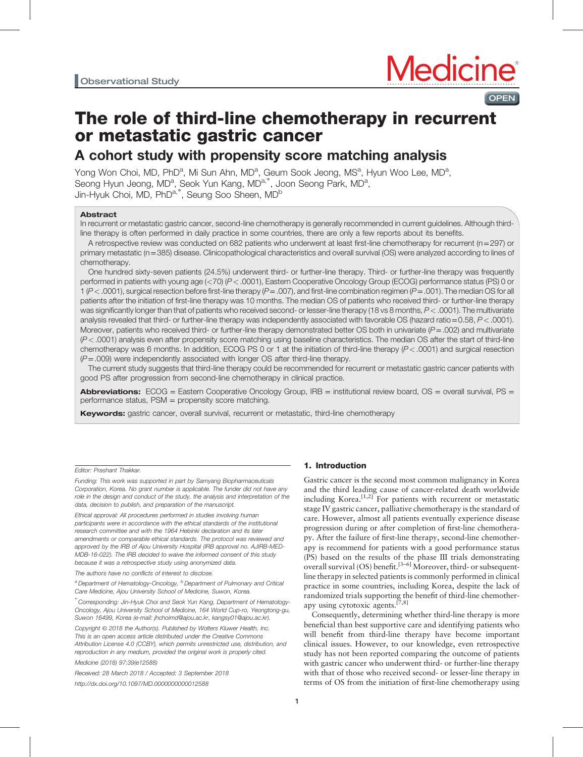# **OPEN**

# The role of third-line chemotherapy in recurrent or metastatic gastric cancer

# A cohort study with propensity score matching analysis

Yong Won Choi, MD, PhD<sup>a</sup>, Mi Sun Ahn, MD<sup>a</sup>, Geum Sook Jeong, MS<sup>a</sup>, Hyun Woo Lee, MD<sup>a</sup>, Seong Hyun Jeong, MD<sup>a</sup>, Seok Yun Kang, MD<sup>a,∗</sup>, Joon Seong Park, MD<sup>a</sup>, Jin-Hyuk Choi, MD, PhD<sup>a,∗</sup>, Seung Soo Sheen, MD<sup>b</sup>

### Abstract

In recurrent or metastatic gastric cancer, second-line chemotherapy is generally recommended in current guidelines. Although thirdline therapy is often performed in daily practice in some countries, there are only a few reports about its benefits.

A retrospective review was conducted on 682 patients who underwent at least first-line chemotherapy for recurrent ( $n=297$ ) or primary metastatic (n=385) disease. Clinicopathological characteristics and overall survival (OS) were analyzed according to lines of chemotherapy.

One hundred sixty-seven patients (24.5%) underwent third- or further-line therapy. Third- or further-line therapy was frequently performed in patients with young age (<70) (P<.0001), Eastern Cooperative Oncology Group (ECOG) performance status (PS) 0 or  $1 (P < .0001)$ , surgical resection before first-line therapy  $(P = .007)$ , and first-line combination regimen  $(P = .001)$ . The median OS for all patients after the initiation of first-line therapy was 10 months. The median OS of patients who received third- or further-line therapy was significantly longer than that of patients who received second- or lesser-line therapy (18 vs 8 months,  $P < .0001$ ). The multivariate analysis revealed that third- or further-line therapy was independently associated with favorable OS (hazard ratio=0.58,  $P < .0001$ ). Moreover, patients who received third- or further-line therapy demonstrated better OS both in univariate  $(P=.002)$  and multivariate  $(P<.0001)$  analysis even after propensity score matching using baseline characteristics. The median OS after the start of third-line chemotherapy was 6 months. In addition, ECOG PS 0 or 1 at the initiation of third-line therapy (P<.0001) and surgical resection  $(P=.009)$  were independently associated with longer OS after third-line therapy.

The current study suggests that third-line therapy could be recommended for recurrent or metastatic gastric cancer patients with good PS after progression from second-line chemotherapy in clinical practice.

Abbreviations: ECOG = Eastern Cooperative Oncology Group, IRB = institutional review board, OS = overall survival, PS = performance status, PSM = propensity score matching.

**Keywords:** gastric cancer, overall survival, recurrent or metastatic, third-line chemotherapy

#### Editor: Prashant Thakkar.

Funding: This work was supported in part by Samyang Biopharmaceuticals Corporation, Korea. No grant number is applicable. The funder did not have any role in the design and conduct of the study, the analysis and interpretation of the data, decision to publish, and preparation of the manuscript.

Ethical approval: All procedures performed in studies involving human participants were in accordance with the ethical standards of the institutional research committee and with the 1964 Helsinki declaration and its later amendments or comparable ethical standards. The protocol was reviewed and approved by the IRB of Ajou University Hospital (IRB approval no. AJIRB-MED-MDB-16-022). The IRB decided to waive the informed consent of this study because it was a retrospective study using anonymized data.

The authors have no conflicts of interest to disclose.

<sup>a</sup> Department of Hematology-Oncology, <sup>b</sup> Department of Pulmonary and Critical Care Medicine, Ajou University School of Medicine, Suwon, Korea.

∗ Corresponding: Jin-Hyuk Choi and Seok Yun Kang, Department of Hematology-Oncology, Ajou University School of Medicine, 164 World Cup-ro, Yeongtong-gu, Suwon 16499, Korea (e-mail: [jhchoimd@ajou.ac.kr, kangsy01@ajou.ac.kr\)](mailto:jhchoimd@ajou.ac.kr, kangsy01@ajou.ac.kr).

Copyright © 2018 the Author(s). Published by Wolters Kluwer Health, Inc. This is an open access article distributed under the [Creative Commons](http://creativecommons.org/licenses/by/4.0) [Attribution License 4.0](http://creativecommons.org/licenses/by/4.0) (CCBY), which permits unrestricted use, distribution, and reproduction in any medium, provided the original work is properly cited.

Medicine (2018) 97:39(e12588)

Received: 28 March 2018 / Accepted: 3 September 2018 <http://dx.doi.org/10.1097/MD.0000000000012588>

# 1. Introduction

Gastric cancer is the second most common malignancy in Korea and the third leading cause of cancer-related death worldwide including Korea. $[1,2]$  For patients with recurrent or metastatic stage IV gastric cancer, palliative chemotherapy is the standard of care. However, almost all patients eventually experience disease progression during or after completion of first-line chemotherapy. After the failure of first-line therapy, second-line chemotherapy is recommend for patients with a good performance status (PS) based on the results of the phase III trials demonstrating overall survival (OS) benefit.<sup>[3–6]</sup> Moreover, third- or subsequentline therapy in selected patients is commonly performed in clinical practice in some countries, including Korea, despite the lack of randomized trials supporting the benefit of third-line chemotherapy using cytotoxic agents.<sup>[7,8]</sup>

Consequently, determining whether third-line therapy is more beneficial than best supportive care and identifying patients who will benefit from third-line therapy have become important clinical issues. However, to our knowledge, even retrospective study has not been reported comparing the outcome of patients with gastric cancer who underwent third- or further-line therapy with that of those who received second- or lesser-line therapy in terms of OS from the initiation of first-line chemotherapy using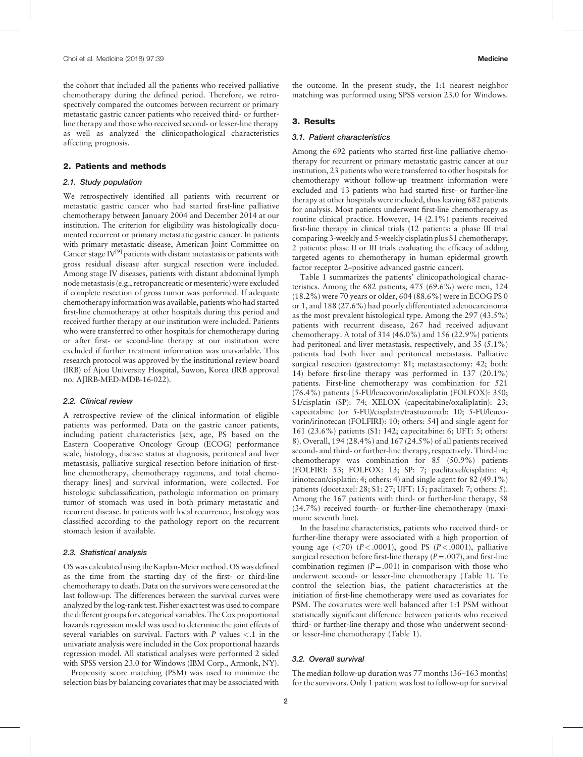the cohort that included all the patients who received palliative chemotherapy during the defined period. Therefore, we retrospectively compared the outcomes between recurrent or primary metastatic gastric cancer patients who received third- or furtherline therapy and those who received second- or lesser-line therapy as well as analyzed the clinicopathological characteristics affecting prognosis.

#### 2. Patients and methods

#### 2.1. Study population

We retrospectively identified all patients with recurrent or metastatic gastric cancer who had started first-line palliative chemotherapy between January 2004 and December 2014 at our institution. The criterion for eligibility was histologically documented recurrent or primary metastatic gastric cancer. In patients with primary metastatic disease, American Joint Committee on Cancer stage  $IV^{[9]}$  $IV^{[9]}$  $IV^{[9]}$  patients with distant metastasis or patients with gross residual disease after surgical resection were included. Among stage IV diseases, patients with distant abdominal lymph node metastasis (e.g., retropancreatic or mesenteric) were excluded if complete resection of gross tumor was performed. If adequate chemotherapy information was available, patients who had started first-line chemotherapy at other hospitals during this period and received further therapy at our institution were included. Patients who were transferred to other hospitals for chemotherapy during or after first- or second-line therapy at our institution were excluded if further treatment information was unavailable. This research protocol was approved by the institutional review board (IRB) of Ajou University Hospital, Suwon, Korea (IRB approval no. AJIRB-MED-MDB-16-022).

#### 2.2. Clinical review

A retrospective review of the clinical information of eligible patients was performed. Data on the gastric cancer patients, including patient characteristics [sex, age, PS based on the Eastern Cooperative Oncology Group (ECOG) performance scale, histology, disease status at diagnosis, peritoneal and liver metastasis, palliative surgical resection before initiation of firstline chemotherapy, chemotherapy regimens, and total chemotherapy lines] and survival information, were collected. For histologic subclassification, pathologic information on primary tumor of stomach was used in both primary metastatic and recurrent disease. In patients with local recurrence, histology was classified according to the pathology report on the recurrent stomach lesion if available.

### 2.3. Statistical analysis

OS was calculated using the Kaplan-Meier method. OS was defined as the time from the starting day of the first- or third-line chemotherapy to death. Data on the survivors were censored at the last follow-up. The differences between the survival curves were analyzed by the log-rank test. Fisher exact test was used to compare the different groups for categorical variables. The Cox proportional hazards regression model was used to determine the joint effects of several variables on survival. Factors with  $P$  values  $\lt$  1 in the univariate analysis were included in the Cox proportional hazards regression model. All statistical analyses were performed 2 sided with SPSS version 23.0 for Windows (IBM Corp., Armonk, NY).

Propensity score matching (PSM) was used to minimize the selection bias by balancing covariates that may be associated with the outcome. In the present study, the 1:1 nearest neighbor matching was performed using SPSS version 23.0 for Windows.

# 3. Results

#### 3.1. Patient characteristics

Among the 692 patients who started first-line palliative chemotherapy for recurrent or primary metastatic gastric cancer at our institution, 23 patients who were transferred to other hospitals for chemotherapy without follow-up treatment information were excluded and 13 patients who had started first- or further-line therapy at other hospitals were included, thus leaving 682 patients for analysis. Most patients underwent first-line chemotherapy as routine clinical practice. However, 14 (2.1%) patients received first-line therapy in clinical trials (12 patients: a phase III trial comparing 3-weekly and 5-weekly cisplatin plus S1 chemotherapy; 2 patients: phase II or III trials evaluating the efficacy of adding targeted agents to chemotherapy in human epidermal growth factor receptor 2–positive advanced gastric cancer).

[Table 1](#page-2-0) summarizes the patients' clinicopathological characteristics. Among the 682 patients, 475 (69.6%) were men, 124 (18.2%) were 70 years or older, 604 (88.6%) were in ECOG PS 0 or 1, and 188 (27.6%) had poorly differentiated adenocarcinoma as the most prevalent histological type. Among the 297 (43.5%) patients with recurrent disease, 267 had received adjuvant chemotherapy. A total of 314 (46.0%) and 156 (22.9%) patients had peritoneal and liver metastasis, respectively, and 35 (5.1%) patients had both liver and peritoneal metastasis. Palliative surgical resection (gastrectomy: 81; metastasectomy: 42; both: 14) before first-line therapy was performed in 137 (20.1%) patients. First-line chemotherapy was combination for 521 (76.4%) patients [5-FU/leucovorin/oxaliplatin (FOLFOX): 350; S1/cisplatin (SP): 74; XELOX (capecitabine/oxaliplatin): 23; capecitabine (or 5-FU)/cisplatin/trastuzumab: 10; 5-FU/leucovorin/irinotecan (FOLFIRI): 10; others: 54] and single agent for 161 (23.6%) patients (S1: 142; capecitabine: 6; UFT: 5; others: 8). Overall, 194 (28.4%) and 167 (24.5%) of all patients received second- and third- or further-line therapy, respectively. Third-line chemotherapy was combination for 85 (50.9%) patients (FOLFIRI: 53; FOLFOX: 13; SP: 7; paclitaxel/cisplatin: 4; irinotecan/cisplatin: 4; others: 4) and single agent for 82 (49.1%) patients (docetaxel: 28; S1: 27; UFT: 15; paclitaxel: 7; others: 5). Among the 167 patients with third- or further-line therapy, 58 (34.7%) received fourth- or further-line chemotherapy (maximum: seventh line).

In the baseline characteristics, patients who received third- or further-line therapy were associated with a high proportion of young age  $(*70*)$   $(P < .0001)$ , good PS  $(P < .0001)$ , palliative surgical resection before first-line therapy  $(P=.007)$ , and first-line combination regimen  $(P=.001)$  in comparison with those who underwent second- or lesser-line chemotherapy ([Table 1\)](#page-2-0). To control the selection bias, the patient characteristics at the initiation of first-line chemotherapy were used as covariates for PSM. The covariates were well balanced after 1:1 PSM without statistically significant difference between patients who received third- or further-line therapy and those who underwent secondor lesser-line chemotherapy ([Table 1](#page-2-0)).

### 3.2. Overall survival

The median follow-up duration was 77 months (36–163 months) for the survivors. Only 1 patient was lost to follow-up for survival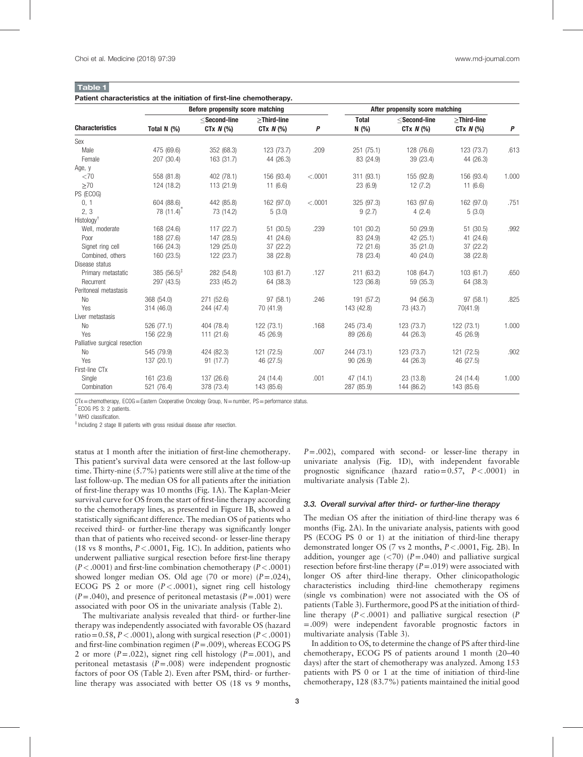<span id="page-2-0"></span>

| Table 1 |                                                                       |  |  |  |
|---------|-----------------------------------------------------------------------|--|--|--|
|         | Patient characteristics at the initiation of first-line chemotherapy. |  |  |  |

|                               |                         | Before propensity score matching |                                | After propensity score matching |                       |                                |                                 |       |
|-------------------------------|-------------------------|----------------------------------|--------------------------------|---------------------------------|-----------------------|--------------------------------|---------------------------------|-------|
| <b>Characteristics</b>        | Total N $(%)$           | $<$ Second-line<br>CTx $N$ (%)   | $>$ Third-line<br>CT $x N$ (%) | P                               | <b>Total</b><br>N (%) | $<$ Second-line<br>CTx $N$ (%) | $\ge$ Third-line<br>CTx $N$ (%) | P     |
| Sex                           |                         |                                  |                                |                                 |                       |                                |                                 |       |
| Male                          | 475 (69.6)              | 352 (68.3)                       | 123 (73.7)                     | .209                            | 251 (75.1)            | 128 (76.6)                     | 123 (73.7)                      | .613  |
| Female                        | 207 (30.4)              | 163 (31.7)                       | 44 (26.3)                      |                                 | 83 (24.9)             | 39 (23.4)                      | 44 (26.3)                       |       |
| Age, y                        |                         |                                  |                                |                                 |                       |                                |                                 |       |
| <70                           | 558 (81.8)              | 402 (78.1)                       | 156 (93.4)                     | < .0001                         | 311 (93.1)            | 155 (92.8)                     | 156 (93.4)                      | 1.000 |
| >70                           | 124 (18.2)              | 113 (21.9)                       | 11(6.6)                        |                                 | 23(6.9)               | 12(7.2)                        | 11(6.6)                         |       |
| PS (ECOG)                     |                         |                                  |                                |                                 |                       |                                |                                 |       |
| 0, 1                          | 604 (88.6)              | 442 (85.8)                       | 162 (97.0)                     | < .0001                         | 325 (97.3)            | 163 (97.6)                     | 162 (97.0)                      | .751  |
| 2, 3                          | $78(11.4)$ <sup>*</sup> | 73 (14.2)                        | 5(3.0)                         |                                 | 9(2.7)                | 4(2.4)                         | 5(3.0)                          |       |
| Histology <sup>†</sup>        |                         |                                  |                                |                                 |                       |                                |                                 |       |
| Well, moderate                | 168 (24.6)              | 117(22.7)                        | 51 (30.5)                      | .239                            | 101 (30.2)            | 50 (29.9)                      | 51 (30.5)                       | .992  |
| Poor                          | 188 (27.6)              | 147 (28.5)                       | 41 (24.6)                      |                                 | 83 (24.9)             | 42 (25.1)                      | 41 (24.6)                       |       |
| Signet ring cell              | 166 (24.3)              | 129 (25.0)                       | 37 (22.2)                      |                                 | 72 (21.6)             | 35(21.0)                       | 37 (22.2)                       |       |
| Combined, others              | 160 (23.5)              | 122 (23.7)                       | 38 (22.8)                      |                                 | 78 (23.4)             | 40(24.0)                       | 38 (22.8)                       |       |
| Disease status                |                         |                                  |                                |                                 |                       |                                |                                 |       |
| Primary metastatic            | 385 $(56.5)^{\ddagger}$ | 282 (54.8)                       | 103 (61.7)                     | .127                            | 211 (63.2)            | 108 (64.7)                     | 103 (61.7)                      | .650  |
| Recurrent                     | 297 (43.5)              | 233 (45.2)                       | 64 (38.3)                      |                                 | 123 (36.8)            | 59 (35.3)                      | 64 (38.3)                       |       |
| Peritoneal metastasis         |                         |                                  |                                |                                 |                       |                                |                                 |       |
| No                            | 368 (54.0)              | 271 (52.6)                       | 97 (58.1)                      | .246                            | 191 (57.2)            | 94 (56.3)                      | 97 (58.1)                       | .825  |
| Yes                           | 314 (46.0)              | 244 (47.4)                       | 70 (41.9)                      |                                 | 143 (42.8)            | 73 (43.7)                      | 70(41.9)                        |       |
| Liver metastasis              |                         |                                  |                                |                                 |                       |                                |                                 |       |
| No                            | 526 (77.1)              | 404 (78.4)                       | 122 (73.1)                     | .168                            | 245 (73.4)            | 123 (73.7)                     | 122 (73.1)                      | 1.000 |
| Yes                           | 156 (22.9)              | 111(21.6)                        | 45 (26.9)                      |                                 | 89 (26.6)             | 44 (26.3)                      | 45 (26.9)                       |       |
| Palliative surgical resection |                         |                                  |                                |                                 |                       |                                |                                 |       |
| No                            | 545 (79.9)              | 424 (82.3)                       | 121 (72.5)                     | .007                            | 244 (73.1)            | 123 (73.7)                     | 121 (72.5)                      | .902  |
| Yes                           | 137 (20.1)              | 91(17.7)                         | 46 (27.5)                      |                                 | 90(26.9)              | 44 (26.3)                      | 46 (27.5)                       |       |
| First-line CTx                |                         |                                  |                                |                                 |                       |                                |                                 |       |
| Single                        | 161 (23.6)              | 137 (26.6)                       | 24 (14.4)                      | .001                            | 47 (14.1)             | 23 (13.8)                      | 24 (14.4)                       | 1.000 |
| Combination                   | 521 (76.4)              | 378 (73.4)                       | 143 (85.6)                     |                                 | 287 (85.9)            | 144 (86.2)                     | 143 (85.6)                      |       |

CTx=chemotherapy, ECOG=Eastern Cooperative Oncology Group, N=number, PS=performance status.

ECOG PS 3: 2 patients.

† WHO classification.

‡ Including 2 stage III patients with gross residual disease after resection.

status at 1 month after the initiation of first-line chemotherapy. This patient's survival data were censored at the last follow-up time. Thirty-nine (5.7%) patients were still alive at the time of the last follow-up. The median OS for all patients after the initiation of first-line therapy was 10 months ([Fig. 1A](#page-3-0)). The Kaplan-Meier survival curve for OS from the start of first-line therapy according to the chemotherapy lines, as presented in [Figure 1B](#page-3-0), showed a statistically significant difference. The median OS of patients who received third- or further-line therapy was significantly longer than that of patients who received second- or lesser-line therapy (18 vs 8 months,  $P < .0001$ , [Fig. 1C](#page-3-0)). In addition, patients who underwent palliative surgical resection before first-line therapy  $(P < .0001)$  and first-line combination chemotherapy  $(P < .0001)$ showed longer median OS. Old age (70 or more)  $(P=.024)$ , ECOG PS 2 or more  $(P < .0001)$ , signet ring cell histology  $(P=.040)$ , and presence of peritoneal metastasis  $(P=.001)$  were associated with poor OS in the univariate analysis ([Table 2](#page-4-0)).

The multivariate analysis revealed that third- or further-line therapy was independently associated with favorable OS (hazard ratio=0.58,  $P < .0001$ ), along with surgical resection ( $P < .0001$ ) and first-line combination regimen  $(P=.009)$ , whereas ECOG PS 2 or more  $(P=.022)$ , signet ring cell histology  $(P=.001)$ , and peritoneal metastasis  $(P=.008)$  were independent prognostic factors of poor OS ([Table 2](#page-4-0)). Even after PSM, third- or furtherline therapy was associated with better OS (18 vs 9 months,  $P = .002$ ), compared with second- or lesser-line therapy in univariate analysis ([Fig. 1D](#page-3-0)), with independent favorable prognostic significance (hazard ratio=0.57, P<.0001) in multivariate analysis [\(Table 2\)](#page-4-0).

#### 3.3. Overall survival after third- or further-line therapy

The median OS after the initiation of third-line therapy was 6 months [\(Fig. 2](#page-4-0)A). In the univariate analysis, patients with good PS (ECOG PS 0 or 1) at the initiation of third-line therapy demonstrated longer OS (7 vs 2 months, P<.0001, [Fig. 2B](#page-4-0)). In addition, younger age  $(*70*)$   $(P=.040)$  and palliative surgical resection before first-line therapy  $(P=.019)$  were associated with longer OS after third-line therapy. Other clinicopathologic characteristics including third-line chemotherapy regimens (single vs combination) were not associated with the OS of patients ([Table 3](#page-5-0)). Furthermore, good PS at the initiation of thirdline therapy  $(P < .0001)$  and palliative surgical resection (P) =.009) were independent favorable prognostic factors in multivariate analysis [\(Table 3\)](#page-5-0).

In addition to OS, to determine the change of PS after third-line chemotherapy, ECOG PS of patients around 1 month (20–40 days) after the start of chemotherapy was analyzed. Among 153 patients with PS 0 or 1 at the time of initiation of third-line chemotherapy, 128 (83.7%) patients maintained the initial good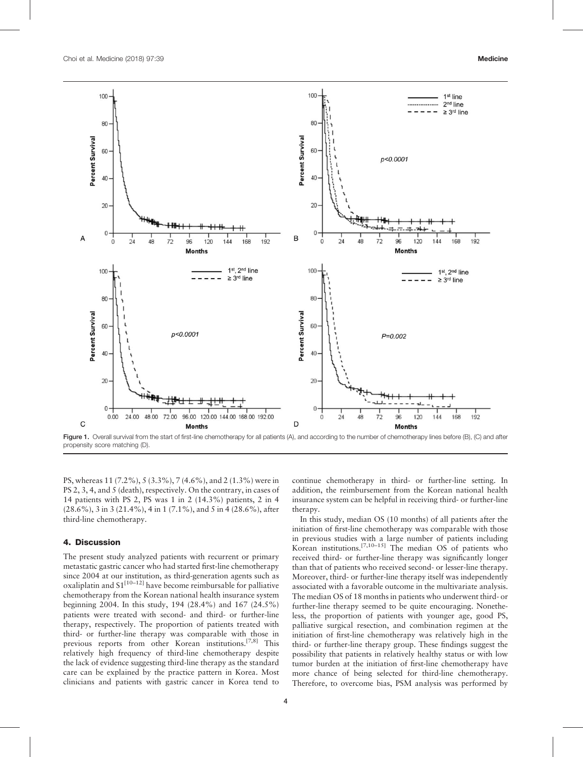<span id="page-3-0"></span>

Figure 1. Overall survival from the start of first-line chemotherapy for all patients (A), and according to the number of chemotherapy lines before (B), (C) and after propensity score matching (D).

PS, whereas 11 (7.2%), 5 (3.3%), 7 (4.6%), and 2 (1.3%) were in PS 2, 3, 4, and 5 (death), respectively. On the contrary, in cases of 14 patients with PS 2, PS was 1 in 2 (14.3%) patients, 2 in 4 (28.6%), 3 in 3 (21.4%), 4 in 1 (7.1%), and 5 in 4 (28.6%), after third-line chemotherapy.

#### 4. Discussion

The present study analyzed patients with recurrent or primary metastatic gastric cancer who had started first-line chemotherapy since 2004 at our institution, as third-generation agents such as oxaliplatin and  $S1^{[10-12]}$  have become reimbursable for palliative chemotherapy from the Korean national health insurance system beginning 2004. In this study, 194 (28.4%) and 167 (24.5%) patients were treated with second- and third- or further-line therapy, respectively. The proportion of patients treated with third- or further-line therapy was comparable with those in previous reports from other Korean institutions.<sup>[7,8]</sup> This relatively high frequency of third-line chemotherapy despite the lack of evidence suggesting third-line therapy as the standard care can be explained by the practice pattern in Korea. Most clinicians and patients with gastric cancer in Korea tend to continue chemotherapy in third- or further-line setting. In addition, the reimbursement from the Korean national health insurance system can be helpful in receiving third- or further-line therapy.

In this study, median OS (10 months) of all patients after the initiation of first-line chemotherapy was comparable with those in previous studies with a large number of patients including Korean institutions.<sup>[7,10–15]</sup> The median OS of patients who received third- or further-line therapy was significantly longer than that of patients who received second- or lesser-line therapy. Moreover, third- or further-line therapy itself was independently associated with a favorable outcome in the multivariate analysis. The median OS of 18 months in patients who underwent third- or further-line therapy seemed to be quite encouraging. Nonetheless, the proportion of patients with younger age, good PS, palliative surgical resection, and combination regimen at the initiation of first-line chemotherapy was relatively high in the third- or further-line therapy group. These findings suggest the possibility that patients in relatively healthy status or with low tumor burden at the initiation of first-line chemotherapy have more chance of being selected for third-line chemotherapy. Therefore, to overcome bias, PSM analysis was performed by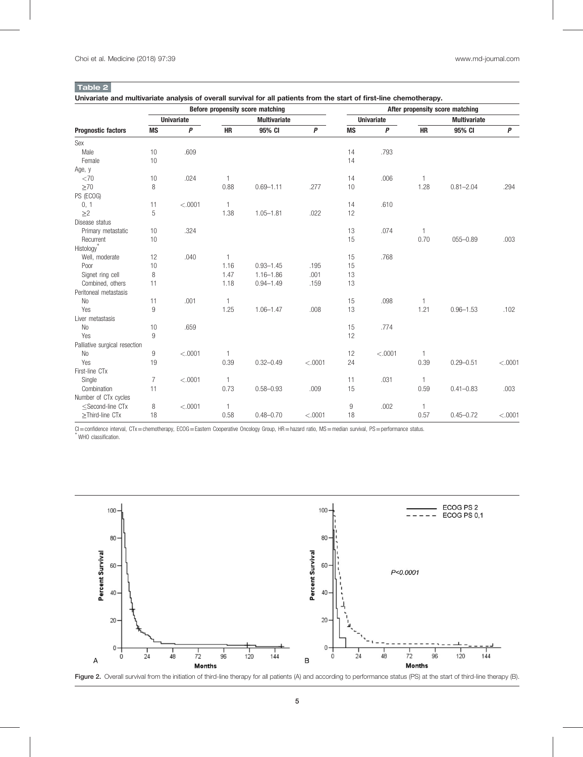# <span id="page-4-0"></span>Table 2

Univariate and multivariate analysis of overall survival for all patients from the start of first-line chemotherapy.

|                                                                                                                                                                                                     | Before propensity score matching |                   |                |                     |                  | After propensity score matching |                   |              |                     |          |
|-----------------------------------------------------------------------------------------------------------------------------------------------------------------------------------------------------|----------------------------------|-------------------|----------------|---------------------|------------------|---------------------------------|-------------------|--------------|---------------------|----------|
|                                                                                                                                                                                                     |                                  | <b>Univariate</b> |                | <b>Multivariate</b> |                  |                                 | <b>Univariate</b> |              | <b>Multivariate</b> |          |
| <b>Prognostic factors</b>                                                                                                                                                                           | <b>MS</b>                        | $\boldsymbol{P}$  | <b>HR</b>      | 95% CI              | $\boldsymbol{P}$ | <b>MS</b>                       | $\boldsymbol{P}$  | <b>HR</b>    | 95% CI              | P        |
| Sex                                                                                                                                                                                                 |                                  |                   |                |                     |                  |                                 |                   |              |                     |          |
| Male                                                                                                                                                                                                | 10                               | .609              |                |                     |                  | 14                              | .793              |              |                     |          |
| Female                                                                                                                                                                                              | 10                               |                   |                |                     |                  | 14                              |                   |              |                     |          |
| Age, y                                                                                                                                                                                              |                                  |                   |                |                     |                  |                                 |                   |              |                     |          |
| <70                                                                                                                                                                                                 | 10                               | .024              | $\mathbf{1}$   |                     |                  | 14                              | .006              | $\mathbf{1}$ |                     |          |
| >70                                                                                                                                                                                                 | 8                                |                   | 0.88           | $0.69 - 1.11$       | .277             | 10                              |                   | 1.28         | $0.81 - 2.04$       | .294     |
| PS (ECOG)                                                                                                                                                                                           |                                  |                   |                |                     |                  |                                 |                   |              |                     |          |
| 0, 1                                                                                                                                                                                                | 11                               | < .0001           | $\mathbf{1}$   |                     |                  | 14                              | .610              |              |                     |          |
| $\geq$ 2                                                                                                                                                                                            | 5                                |                   | 1.38           | $1.05 - 1.81$       | .022             | 12                              |                   |              |                     |          |
| Disease status                                                                                                                                                                                      |                                  |                   |                |                     |                  |                                 |                   |              |                     |          |
| Primary metastatic                                                                                                                                                                                  | 10                               | .324              |                |                     |                  | 13                              | .074              | $\mathbf{1}$ |                     |          |
| Recurrent                                                                                                                                                                                           | 10                               |                   |                |                     |                  | 15                              |                   | 0.70         | $055 - 0.89$        | .003     |
| Histology <sup>®</sup>                                                                                                                                                                              |                                  |                   |                |                     |                  |                                 |                   |              |                     |          |
| Well, moderate                                                                                                                                                                                      | 12                               | .040              | $\mathbf{1}$   |                     |                  | 15                              | .768              |              |                     |          |
| Poor                                                                                                                                                                                                | 10                               |                   | 1.16           | $0.93 - 1.45$       | .195             | 15                              |                   |              |                     |          |
| Signet ring cell                                                                                                                                                                                    | 8                                |                   | 1.47           | $1.16 - 1.86$       | .001             | 13                              |                   |              |                     |          |
| Combined, others                                                                                                                                                                                    | 11                               |                   | 1.18           | $0.94 - 1.49$       | .159             | 13                              |                   |              |                     |          |
| Peritoneal metastasis                                                                                                                                                                               |                                  |                   |                |                     |                  |                                 |                   |              |                     |          |
| N <sub>0</sub>                                                                                                                                                                                      | 11                               | .001              | $\mathbf{1}$   |                     |                  | 15                              | .098              | $\mathbf{1}$ |                     |          |
| Yes                                                                                                                                                                                                 | 9                                |                   | 1.25           | $1.06 - 1.47$       | .008             | 13                              |                   | 1.21         | $0.96 - 1.53$       | .102     |
| Liver metastasis                                                                                                                                                                                    |                                  |                   |                |                     |                  |                                 |                   |              |                     |          |
| N <sub>0</sub>                                                                                                                                                                                      | 10                               | .659              |                |                     |                  | 15                              | .774              |              |                     |          |
| Yes                                                                                                                                                                                                 | 9                                |                   |                |                     |                  | 12                              |                   |              |                     |          |
| Palliative surgical resection                                                                                                                                                                       |                                  |                   |                |                     |                  |                                 |                   |              |                     |          |
| N <sub>0</sub>                                                                                                                                                                                      | 9                                | < .0001           | $\overline{1}$ |                     |                  | 12                              | < .0001           | $\mathbf{1}$ |                     |          |
| Yes                                                                                                                                                                                                 | 19                               |                   | 0.39           | $0.32 - 0.49$       | $-.0001$         | 24                              |                   | 0.39         | $0.29 - 0.51$       | $-.0001$ |
| First-line CTx                                                                                                                                                                                      |                                  |                   |                |                     |                  |                                 |                   |              |                     |          |
| Single                                                                                                                                                                                              | $\overline{7}$                   | < .0001           | $\overline{1}$ |                     |                  | 11                              | .031              | $\mathbf{1}$ |                     |          |
| Combination                                                                                                                                                                                         | 11                               |                   | 0.73           | $0.58 - 0.93$       | .009             | 15                              |                   | 0.59         | $0.41 - 0.83$       | .003     |
| Number of CTx cycles                                                                                                                                                                                |                                  |                   |                |                     |                  |                                 |                   |              |                     |          |
| <second-line ctx<="" td=""><td>8</td><td>&lt; .0001</td><td><math>\overline{1}</math></td><td></td><td></td><td>9</td><td>.002</td><td><math>\mathbf{1}</math></td><td></td><td></td></second-line> | 8                                | < .0001           | $\overline{1}$ |                     |                  | 9                               | .002              | $\mathbf{1}$ |                     |          |
| $\geq$ Third-line CTx                                                                                                                                                                               | 18                               |                   | 0.58           | $0.48 - 0.70$       | < .0001          | 18                              |                   | 0.57         | $0.45 - 0.72$       | < .0001  |

CI=confidence interval, CTx=chemotherapy, ECOG=Eastern Cooperative Oncology Group, HR=hazard ratio, MS=median survival, PS=performance status. WHO classification.



Figure 2. Overall survival from the initiation of third-line therapy for all patients (A) and according to performance status (PS) at the start of third-line therapy (B).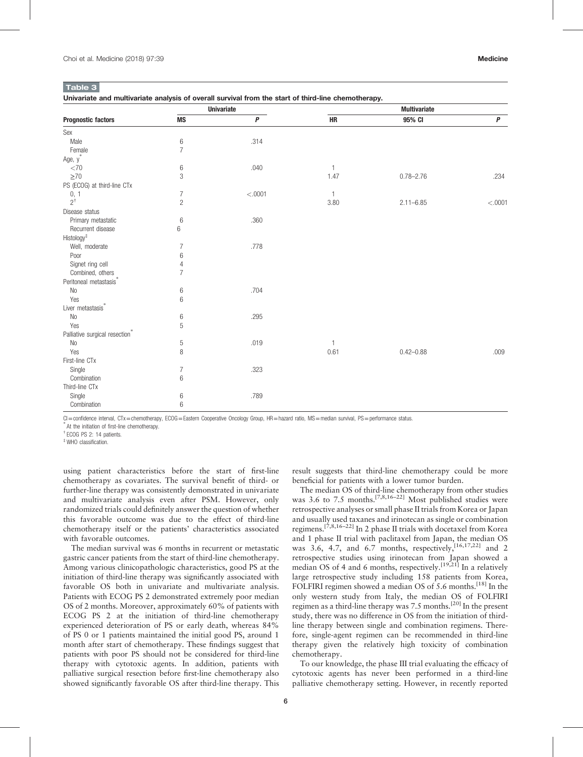#### <span id="page-5-0"></span>Table 3

|                                            |                | <b>Univariate</b> |              | <b>Multivariate</b> |           |
|--------------------------------------------|----------------|-------------------|--------------|---------------------|-----------|
| <b>Prognostic factors</b>                  | <b>MS</b>      | $\overline{P}$    | HR           | 95% CI              | $\pmb{P}$ |
| Sex                                        |                |                   |              |                     |           |
| Male                                       | 6              | .314              |              |                     |           |
| Female                                     | $\overline{7}$ |                   |              |                     |           |
| Age, y <sup>*</sup>                        |                |                   |              |                     |           |
| <70                                        | 6              | .040              | $\mathbf{1}$ |                     |           |
| $\geq 70$                                  | 3              |                   | 1.47         | $0.78 - 2.76$       | .234      |
| PS (ECOG) at third-line CTx                |                |                   |              |                     |           |
|                                            | 7              | < .0001           | $\mathbf{1}$ |                     |           |
| $\frac{0}{2}$ , 1                          | $\overline{c}$ |                   | 3.80         | $2.11 - 6.85$       | < .0001   |
| Disease status                             |                |                   |              |                     |           |
| Primary metastatic                         | 6              | .360              |              |                     |           |
| Recurrent disease                          | 6              |                   |              |                     |           |
| Histology <sup>#</sup>                     |                |                   |              |                     |           |
| Well, moderate                             | 7              | .778              |              |                     |           |
| Poor                                       | 6              |                   |              |                     |           |
| Signet ring cell                           | 4              |                   |              |                     |           |
| Combined, others                           | $\overline{7}$ |                   |              |                     |           |
| Peritoneal metastasis <sup>*</sup>         |                |                   |              |                     |           |
| $\rm No$                                   | 6              | .704              |              |                     |           |
| Yes                                        | 6              |                   |              |                     |           |
| Liver metastasis*                          |                |                   |              |                     |           |
| <b>No</b>                                  | 6              | .295              |              |                     |           |
| Yes                                        | 5              |                   |              |                     |           |
| Palliative surgical resection <sup>*</sup> |                |                   |              |                     |           |
| No                                         | $\sqrt{5}$     | .019              | 1            |                     |           |
| Yes                                        | 8              |                   | 0.61         | $0.42 - 0.88$       | .009      |
| First-line CTx                             |                |                   |              |                     |           |
| Single                                     | $\overline{7}$ | .323              |              |                     |           |
| Combination                                | 6              |                   |              |                     |           |
| Third-line CTx                             |                |                   |              |                     |           |
| Single                                     | 6              | .789              |              |                     |           |
| Combination                                | 6              |                   |              |                     |           |

CI=confidence interval, CTx=chemotherapy, ECOG=Eastern Cooperative Oncology Group, HR=hazard ratio, MS=median survival, PS=performance status.

At the initiation of first-line chemotherapy.

† ECOG PS 2: 14 patients.

‡ WHO classification.

using patient characteristics before the start of first-line chemotherapy as covariates. The survival benefit of third- or further-line therapy was consistently demonstrated in univariate and multivariate analysis even after PSM. However, only randomized trials could definitely answer the question of whether this favorable outcome was due to the effect of third-line chemotherapy itself or the patients' characteristics associated with favorable outcomes.

The median survival was 6 months in recurrent or metastatic gastric cancer patients from the start of third-line chemotherapy. Among various clinicopathologic characteristics, good PS at the initiation of third-line therapy was significantly associated with favorable OS both in univariate and multivariate analysis. Patients with ECOG PS 2 demonstrated extremely poor median OS of 2 months. Moreover, approximately 60% of patients with ECOG PS 2 at the initiation of third-line chemotherapy experienced deterioration of PS or early death, whereas 84% of PS 0 or 1 patients maintained the initial good PS, around 1 month after start of chemotherapy. These findings suggest that patients with poor PS should not be considered for third-line therapy with cytotoxic agents. In addition, patients with palliative surgical resection before first-line chemotherapy also showed significantly favorable OS after third-line therapy. This result suggests that third-line chemotherapy could be more beneficial for patients with a lower tumor burden.

The median OS of third-line chemotherapy from other studies was 3.6 to 7.5 months.<sup>[7,8,16–22]</sup> Most published studies were retrospective analyses or small phase II trials from Korea or Japan and usually used taxanes and irinotecan as single or combination regimens.[7,8,16–22] In 2 phase II trials with docetaxel from Korea and 1 phase II trial with paclitaxel from Japan, the median OS was  $3.6$ , 4.7, and  $6.7$  months, respectively,  $[16,17,22]$  and 2 retrospective studies using irinotecan from Japan showed a median OS of 4 and 6 months, respectively.<sup>[19,21]</sup> In a relatively large retrospective study including 158 patients from Korea, FOLFIRI regimen showed a median OS of 5.6 months.<sup>[\[18\]](#page-7-0)</sup> In the only western study from Italy, the median OS of FOLFIRI regimen as a third-line therapy was 7.5 months.<sup>[\[20\]](#page-7-0)</sup> In the present study, there was no difference in OS from the initiation of thirdline therapy between single and combination regimens. Therefore, single-agent regimen can be recommended in third-line therapy given the relatively high toxicity of combination chemotherapy.

To our knowledge, the phase III trial evaluating the efficacy of cytotoxic agents has never been performed in a third-line palliative chemotherapy setting. However, in recently reported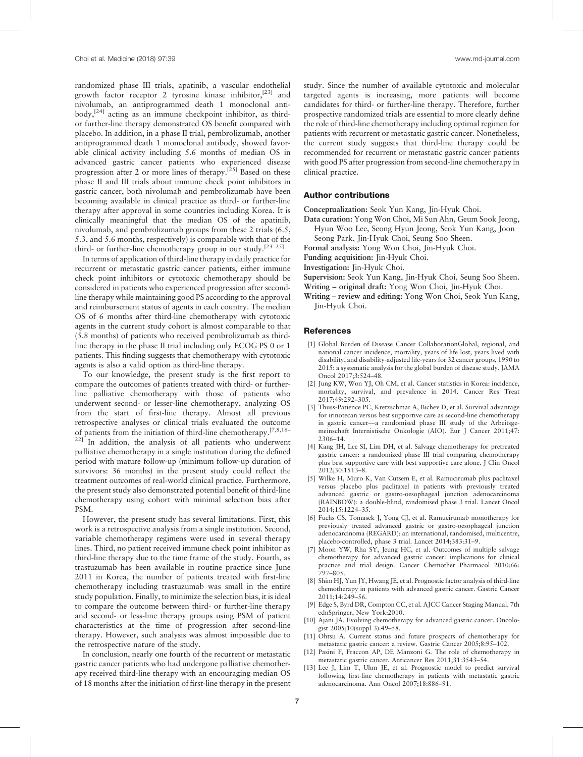<span id="page-6-0"></span>randomized phase III trials, apatinib, a vascular endothelial growth factor receptor 2 tyrosine kinase inhibitor,  $[23]$  and nivolumab, an antiprogrammed death 1 monoclonal anti- $body<sub>1</sub><sup>[24]</sup> acting as an immune checkpoint inhibitor, as third body<sub>1</sub><sup>[24]</sup> acting as an immune checkpoint inhibitor, as third body<sub>1</sub><sup>[24]</sup> acting as an immune checkpoint inhibitor, as third$ or further-line therapy demonstrated OS benefit compared with placebo. In addition, in a phase II trial, pembrolizumab, another antiprogrammed death 1 monoclonal antibody, showed favorable clinical activity including 5.6 months of median OS in advanced gastric cancer patients who experienced disease progression after 2 or more lines of therapy.<sup>[\[25\]](#page-7-0)</sup> Based on these phase II and III trials about immune check point inhibitors in gastric cancer, both nivolumab and pembrolizumab have been becoming available in clinical practice as third- or further-line therapy after approval in some countries including Korea. It is clinically meaningful that the median OS of the apatinib, nivolumab, and pembrolizumab groups from these 2 trials (6.5, 5.3, and 5.6 months, respectively) is comparable with that of the third- or further-line chemotherapy group in our study.<sup>[23–25]</sup>

In terms of application of third-line therapy in daily practice for recurrent or metastatic gastric cancer patients, either immune check point inhibitors or cytotoxic chemotherapy should be considered in patients who experienced progression after secondline therapy while maintaining good PS according to the approval and reimbursement status of agents in each country. The median OS of 6 months after third-line chemotherapy with cytotoxic agents in the current study cohort is almost comparable to that (5.8 months) of patients who received pembrolizumab as thirdline therapy in the phase II trial including only ECOG PS 0 or 1 patients. This finding suggests that chemotherapy with cytotoxic agents is also a valid option as third-line therapy.

To our knowledge, the present study is the first report to compare the outcomes of patients treated with third- or furtherline palliative chemotherapy with those of patients who underwent second- or lesser-line chemotherapy, analyzing OS from the start of first-line therapy. Almost all previous retrospective analyses or clinical trials evaluated the outcome of patients from the initiation of third-line chemotherapy.[7,8,16–  $22$ ] In addition, the analysis of all patients who underwent palliative chemotherapy in a single institution during the defined period with mature follow-up (minimum follow-up duration of survivors: 36 months) in the present study could reflect the treatment outcomes of real-world clinical practice. Furthermore, the present study also demonstrated potential benefit of third-line chemotherapy using cohort with minimal selection bias after PSM.

However, the present study has several limitations. First, this work is a retrospective analysis from a single institution. Second, variable chemotherapy regimens were used in several therapy lines. Third, no patient received immune check point inhibitor as third-line therapy due to the time frame of the study. Fourth, as trastuzumab has been available in routine practice since June 2011 in Korea, the number of patients treated with first-line chemotherapy including trastuzumab was small in the entire study population. Finally, to minimize the selection bias, it is ideal to compare the outcome between third- or further-line therapy and second- or less-line therapy groups using PSM of patient characteristics at the time of progression after second-line therapy. However, such analysis was almost impossible due to the retrospective nature of the study.

In conclusion, nearly one fourth of the recurrent or metastatic gastric cancer patients who had undergone palliative chemotherapy received third-line therapy with an encouraging median OS of 18 months after the initiation of first-line therapy in the present study. Since the number of available cytotoxic and molecular targeted agents is increasing, more patients will become candidates for third- or further-line therapy. Therefore, further prospective randomized trials are essential to more clearly define the role of third-line chemotherapy including optimal regimen for patients with recurrent or metastatic gastric cancer. Nonetheless, the current study suggests that third-line therapy could be recommended for recurrent or metastatic gastric cancer patients with good PS after progression from second-line chemotherapy in clinical practice.

#### Author contributions

Conceptualization: Seok Yun Kang, Jin-Hyuk Choi.

- Data curation: Yong Won Choi, Mi Sun Ahn, Geum Sook Jeong, Hyun Woo Lee, Seong Hyun Jeong, Seok Yun Kang, Joon Seong Park, Jin-Hyuk Choi, Seung Soo Sheen.
- Formal analysis: Yong Won Choi, Jin-Hyuk Choi.
- Funding acquisition: Jin-Hyuk Choi.

Investigation: Jin-Hyuk Choi.

Supervision: Seok Yun Kang, Jin-Hyuk Choi, Seung Soo Sheen.

Writing – original draft: Yong Won Choi, Jin-Hyuk Choi.

Writing – review and editing: Yong Won Choi, Seok Yun Kang, Jin-Hyuk Choi.

#### **References**

- [1] Global Burden of Disease Cancer CollaborationGlobal, regional, and national cancer incidence, mortality, years of life lost, years lived with disability, and disability-adjusted life-years for 32 cancer groups, 1990 to 2015: a systematic analysis for the global burden of disease study. JAMA Oncol 2017;3:524–48.
- [2] Jung KW, Won YJ, Oh CM, et al. Cancer statistics in Korea: incidence, mortality, survival, and prevalence in 2014. Cancer Res Treat 2017;49:292–305.
- [3] Thuss-Patience PC, Kretzschmar A, Bichev D, et al. Survival advantage for irinotecan versus best supportive care as second-line chemotherapy in gastric cancer—a randomised phase III study of the Arbeitsgemeinschaft Internistische Onkologie (AIO). Eur J Cancer 2011;47: 2306–14.
- [4] Kang JH, Lee SI, Lim DH, et al. Salvage chemotherapy for pretreated gastric cancer: a randomized phase III trial comparing chemotherapy plus best supportive care with best supportive care alone. J Clin Oncol 2012;30:1513–8.
- [5] Wilke H, Muro K, Van Cutsem E, et al. Ramucirumab plus paclitaxel versus placebo plus paclitaxel in patients with previously treated advanced gastric or gastro-oesophageal junction adenocarcinoma (RAINBOW): a double-blind, randomised phase 3 trial. Lancet Oncol 2014;15:1224–35.
- [6] Fuchs CS, Tomasek J, Yong CJ, et al. Ramucirumab monotherapy for previously treated advanced gastric or gastro-oesophageal junction adenocarcinoma (REGARD): an international, randomised, multicentre, placebo-controlled, phase 3 trial. Lancet 2014;383:31–9.
- [7] Moon YW, Rha SY, Jeung HC, et al. Outcomes of multiple salvage chemotherapy for advanced gastric cancer: implications for clinical practice and trial design. Cancer Chemother Pharmacol 2010;66: 797–805.
- [8] Shim HJ, Yun JY, Hwang JE, et al. Prognostic factor analysis of third-line chemotherapy in patients with advanced gastric cancer. Gastric Cancer 2011;14:249–56.
- [9] Edge S, Byrd DR, Compton CC, et al. AJCC Cancer Staging Manual. 7th ednSpringer, New York:2010.
- [10] Ajani JA. Evolving chemotherapy for advanced gastric cancer. Oncologist 2005;10(suppl 3):49–58.
- [11] Ohtsu A. Current status and future prospects of chemotherapy for metastatic gastric cancer: a review. Gastric Cancer 2005;8:95–102.
- [12] Pasini F, Fraccon AP, DE Manzoni G. The role of chemotherapy in metastatic gastric cancer. Anticancer Res 2011;31:3543–54.
- [13] Lee J, Lim T, Uhm JE, et al. Prognostic model to predict survival following first-line chemotherapy in patients with metastatic gastric adenocarcinoma. Ann Oncol 2007;18:886–91.